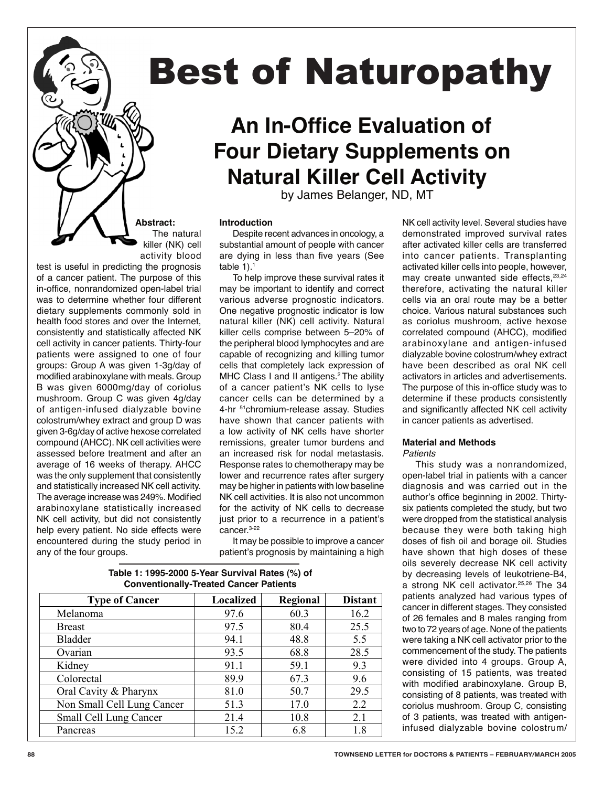# Best of Naturopathy

# **An In-Office Evaluation of Four Dietary Supplements on Natural Killer Cell Activity**

by James Belanger, ND, MT

#### **Introduction**

Despite recent advances in oncology, a substantial amount of people with cancer are dying in less than five years (See table  $1$ ).<sup>1</sup>

 $\theta$ ll activity in cancer patients. Thirty-four  $\qquad$  the peripheral blood lymphocytes and  $\arctan a$  arabinoxylane $\qquad$  and  $\qquad$  antige To help improve these survival rates it may be important to identify and correct various adverse prognostic indicators. One negative prognostic indicator is low natural killer (NK) cell activity. Natural killer cells comprise between 5–20% of capable of recognizing and killing tumor cells that completely lack expression of MHC Class I and II antigens.<sup>2</sup> The ability cancer cells can be determined by a 4-hr <sup>51</sup>chromium-release assay. Studies have shown that cancer patients with a low activity of NK cells have shorter remissions, greater tumor burdens and an increased risk for nodal metastasis. Response rates to chemotherapy may be lower and recurrence rates after surgery may be higher in patients with low baseline NK cell activities. It is also not uncommon for the activity of NK cells to decrease just prior to a recurrence in a patient's cancer.3-22

> It may be possible to improve a cancer patient's prognosis by maintaining a high

NK cell activity level. Several studies have demonstrated improved survival rates after activated killer cells are transferred into cancer patients. Transplanting activated killer cells into people, however, may create unwanted side effects, 23,24 therefore, activating the natural killer cells via an oral route may be a better choice. Various natural substances such as coriolus mushroom, active hexose correlated compound (AHCC), modified arabinoxylane and antigen-infused dialyzable bovine colostrum/whey extract have been described as oral NK cell activators in articles and advertisements. The purpose of this in-office study was to determine if these products consistently and significantly affected NK cell activity in cancer patients as advertised.

#### **Material and Methods**

*Patients*

This study was a nonrandomized, open-label trial in patients with a cancer diagnosis and was carried out in the author's office beginning in 2002. Thirtysix patients completed the study, but two were dropped from the statistical analysis because they were both taking high doses of fish oil and borage oil. Studies have shown that high doses of these oils severely decrease NK cell activity by decreasing levels of leukotriene-B4, a strong NK cell activator.25,26 The 34 patients analyzed had various types of cancer in different stages. They consisted of 26 females and 8 males ranging from two to 72 years of age. None of the patients were taking a NK cell activator prior to the commencement of the study. The patients were divided into 4 groups. Group A, consisting of 15 patients, was treated with modified arabinoxylane. Group B, consisting of 8 patients, was treated with coriolus mushroom. Group C, consisting of 3 patients, was treated with antigeninfused dialyzable bovine colostrum/

#### **Table 1: 1995-2000 5-Year Survival Rates (%) of Type of Cancer**  $\qquad$  | **Localized** | **Regional** | **Distant** Melanoma 1 97.6 60.3 16.2 Breast 1 97.5 80.4 25.5 Bladder 194.1 48.8 5.5 Ovarian 193.5 68.8 28.5 Kidney 91.1 59.1 9.3 Colorectal 89.9 67.3 9.6<br>
Oral Cavity & Pharvnx 81.0 50.7 29.5 Oral Cavity & Pharynx 81.0 50.7 29.5 **Conventionally-Treated Cancer Patients**

Non Small Cell Lung Cancer 51.3 17.0 2.2 Small Cell Lung Cancer 21.4 10.8 2.1 Pancreas 15.2 6.8 1.8

The natural Des **test is useful in predicting the prognosis** killer (NK) cell activity blood

**Abstract:**

in-office, nonrandomized open-label trial may be important to identify and correct therefore, ac was to determine whether four different  consistently and statistically affected NK patients were assigned to one of four capable of recognizing and killing tumor dialyzable bovine colostrum/wi groups. Group A was given i-3g/day of the cents that completely fack expression of thave been described as of<br>modified arabinoxylane with meals. Group MHC Class I and II antigens.<sup>2</sup> The ability activators in articles and B was given 6000mg/day of coriolus of a cancer patient's NK cells to lyse The purpose of this in-office st mushroom. Group C was given 4g/day cancer cells can be determined by a determine if these products c of antigen-infused dialyzable bovine 4-hr <sup>51</sup>chromium-release assay. Studies and significantly affected NK of colostrum/whey extract and group D was a have shown that cancer patients with a micancer patients as advertise<br>given 3-6g/day of active hexose correlated a low activity of NK cells have shorter given begraaf of active hexale conclated a few activity of the case have shorter<br>compound (AHCC). NK cell activities were remissions, greater tumor burdens and **Material and Methods** assessed before treatment and after an an increased risk for nodal metastasis. Patients average of 16 weeks of therapy. AHCC Besponse rates to chemotherapy may be Bessudy was a nonrar was the only supplement that consistently lower and recurrence rates after surgery open-label trial in patients wit<br>conditivities the second NK call activity was the bigher in patients with law begaling and increasing and The average increase was 249%. Modified  NK cell activity, but did not consistently help every patient. No side effects were cancer.<sup>3-22</sup> because they were both ta encountered during the study period in<br>any of the four groups of a cancer patient. The purpose of this dietary supplements commonly sold in health food stores and over the Internet, cell activity in cancer patients. Thirty-four groups: Group A was given 1-3g/day of B was given 6000mg/day of coriolus colostrum/whey extract and group D was and statistically increased NK cell activity. arabinoxylane statistically increased any of the four groups.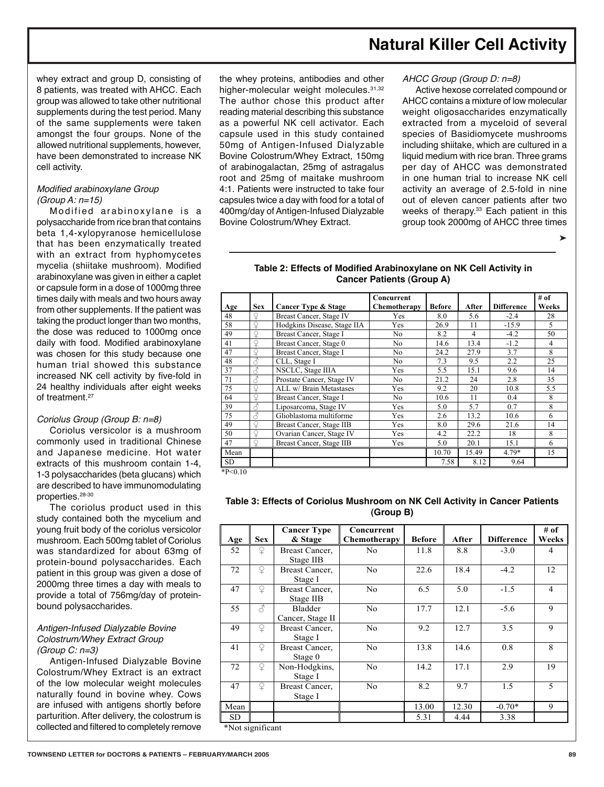# **Natural Killer Cell Activity**

whey extract and group D, consisting of 8 patients, was treated with AHCC. Each group was allowed to take other nutritional supplements during the test period. Many of the same supplements were taken amongst the four groups. None of the allowed nutritional supplements, however, have been demonstrated to increase NK cell activity.

#### Modified arabinoxylane Group  $(Group A: n=15)$

Modified arabinoxylane is a polysaccharide from rice bran that contains beta 1,4-xylopyranose hemicellulose that has been enzymatically treated with an extract from hyphomycetes mycelia (shiitake mushroom). Modified arabinoxylane was given in either a caplet or capsule form in a dose of 1000mg three times daily with meals and two hours away from other supplements. If the patient was taking the product longer than two months, the dose was reduced to 1000mg once daily with food. Modified arabinoxylane was chosen for this study because one human trial showed this substance increased NK cell activity by five-fold in 24 healthy individuals after eight weeks of treatment.<sup>27</sup>

#### Coriolus Group (Group B: n=8)

Coriolus versicolor is a mushroom commonly used in traditional Chinese and Japanese medicine. Hot water extracts of this mushroom contain 1-4, 1-3 polysaccharides (beta glucans) which are described to have immunomodulating properties.28-30

The coriolus product used in this study contained both the mycelium and young fruit body of the coriolus versicolor mushroom. Each 500mg tablet of Coriolus was standardized for about 63mg of protein-bound polysaccharides. Each patient in this group was given a dose of 2000mg three times a day with meals to provide a total of 756mg/day of proteinbound polysaccharides.

#### Antigen-Infused Dialyzable Bovine Colostrum/Whey Extract Group (Group C: n=3)

Antigen-Infused Dialyzable Bovine Colostrum/Whey Extract is an extract of the low molecular weight molecules naturally found in bovine whey. Cows are infused with antigens shortly before parturition. After delivery, the colostrum is collected and filtered to completely remove

the whey proteins, antibodies and other higher-molecular weight molecules. 31,32 The author chose this product after reading material describing this substance as a powerful NK cell activator. Each capsule used in this study contained 50mg of Antigen-Infused Dialyzable Bovine Colostrum/Whey Extract, 150mg of arabinogalactan, 25mg of astragalus root and 25mg of maitake mushroom 4:1. Patients were instructed to take four capsules twice a day with food for a total of 400mg/day of Antigen-Infused Dialyzable Bovine Colostrum/Whey Extract.

#### AHCC Group (Group D: n=8)

Active hexose correlated compound or AHCC contains a mixture of low molecular weight oligosaccharides enzymatically extracted from a myceloid of several species of Basidiomycete mushrooms including shiitake, which are cultured in a liquid medium with rice bran. Three grams per day of AHCC was demonstrated in one human trial to increase NK cell activity an average of 2.5-fold in nine out of eleven cancer patients after two weeks of therapy.<sup>33</sup> Each patient in this group took 2000mg of AHCC three times

➤

#### **Table 2: Effects of Modified Arabinoxylane on NK Cell Activity in Cancer Patients (Group A)**  $\alpha$ <sup>1</sup>  $\alpha$ <sup>1</sup>  $\alpha$ <sup>1</sup>  $\alpha$ <sup>1</sup>  $\alpha$ <sup>2</sup>  $\alpha$ <sup>2</sup>  $\alpha$ <sup>2</sup>  $\alpha$ <sup>2</sup>  $\alpha$ <sup>2</sup>  $\alpha$ <sup>2</sup>  $\alpha$ <sup>2</sup>  $\alpha$ <sup>2</sup>  $\alpha$ <sup>2</sup>  $\alpha$ <sup>2</sup>  $\alpha$ <sup>2</sup>  $\alpha$ <sup>2</sup>  $\alpha$ <sup>2</sup>  $\alpha$ <sup>2</sup>  $\alpha$ <sup>2</sup>  $\alpha$ <sup>2</sup>  $\alpha$ <sup>2</sup>  $\alpha$ <sup>2</sup>  $\alpha$ <sup>2</sup>  $\alpha$ <sup>2</sup>  $\alpha$ <sup>2</sup>  $\alpha$ <sup>2</sup>  $\alpha$ <sup>2</sup>  $\alpha$ <sup></sup>

| Age  | <b>Sex</b> | <b>Cancer Type &amp; Stage</b> | Concurrent<br>Chemotherapy | <b>Before</b> | After | <b>Difference</b> | # of<br>Weeks |
|------|------------|--------------------------------|----------------------------|---------------|-------|-------------------|---------------|
| 48   |            | Breast Cancer, Stage IV        | Yes                        | 8.0           | 5.6   | $-2.4$            | 28            |
| 58   |            | Hodgkins Disease, Stage IIA    | Yes                        | 26.9          | 11    | $-15.9$           | 5             |
| 49   | ¥          | Breast Cancer, Stage I         | No                         | 8.2           | 4     | $-4.2$            | 50            |
| 41   | ¥          | Breast Cancer, Stage 0         | No                         | 14.6          | 13.4  | $-1.2$            | 4             |
| 47   |            | Breast Cancer, Stage I         | No                         | 24.2          | 27.9  | 3.7               | 8             |
| 48   |            | CLL, Stage I                   | No.                        | 7.3           | 9.5   | 2.2               | 25            |
| 37   |            | NSCLC, Stage IIIA              | Yes                        | 5.5           | 15.1  | 9.6               | 14            |
| 71   | Ŝ          | Prostate Cancer, Stage IV      | No                         | 21.2          | 24    | 2.8               | 35            |
| 75   |            | ALL w/ Brain Metastases        | Yes                        | 9.2           | 20    | 10.8              | 5.5           |
| 64   |            | Breast Cancer, Stage I         | No                         | 10.6          | 11    | 0.4               | 8             |
| 39   |            | Liposarcoma, Stage IV          | Yes                        | 5.0           | 5.7   | 0.7               | 8             |
| 75   |            | Glioblastoma multiforme        | Yes                        | 2.6           | 13.2  | 10.6              | 6             |
| 49   |            | Breast Cancer, Stage IIB       | Yes                        | 8.0           | 29.6  | 21.6              | 14            |
| 50   | Q          | Ovarian Cancer, Stage IV       | Yes                        | 4.2           | 22.2  | 18                | 8             |
| 47   | ¥          | Breast Cancer, Stage IIB       | Yes                        | 5.0           | 20.1  | 15.1              | 6             |
| Mean |            |                                |                            | 10.70         | 15.49 | $4.79*$           | 15            |
| SD.  |            |                                |                            | 7.58          | 8.12  | 9.64              |               |

Table 3: Effects of Coriolus Mushroom on NK Cell Activity in Cancer Patients<br>(Group B) **(Group B)**  $\left( \begin{array}{c} 0 & 0 \\ 0 & 0 \end{array} \right)$ 

 $1.5010$ 

| Age  | <b>Sex</b> | <b>Cancer Type</b><br>& Stage | Concurrent<br>Chemotherapy | <b>Before</b> | After | <b>Difference</b> | # of<br>Weeks  |
|------|------------|-------------------------------|----------------------------|---------------|-------|-------------------|----------------|
| 52   | ¥          | Breast Cancer,<br>Stage IIB   | No.                        | 11.8          | 8.8   | $-3.0$            | 4              |
| 72   | ¥          | Breast Cancer,<br>Stage I     | N <sub>0</sub>             | 22.6          | 18.4  | $-4.2$            | 12             |
| 47   | ¥          | Breast Cancer.<br>Stage IIB   | N <sub>o</sub>             | 6.5           | 5.0   | $-1.5$            | $\overline{4}$ |
| 55   | 8          | Bladder<br>Cancer, Stage II   | N <sub>0</sub>             | 17.7          | 12.1  | $-5.6$            | 9              |
| 49   | ♀          | Breast Cancer,<br>Stage I     | N <sub>0</sub>             | 9.2           | 12.7  | 3.5               | 9              |
| 41   | ¥          | Breast Cancer.<br>Stage 0     | N <sub>o</sub>             | 13.8          | 14.6  | 0.8               | 8              |
| 72   | $\Omega$   | Non-Hodgkins,<br>Stage I      | N <sub>o</sub>             | 14.2          | 17.1  | 2.9               | 19             |
| 47   | ¥          | Breast Cancer,<br>Stage I     | N <sub>0</sub>             | 8.2           | 9.7   | 1.5               | 5              |
| Mean |            |                               |                            | 13.00         | 12.30 | $-0.70*$          | 9              |
| SD.  |            |                               |                            | 5.31          | 4.44  | 3.38              |                |

 $\mathcal{L} = \{ \mathcal{L} \mid \mathcal{L} \in \mathcal{L} \}$  . The contract of  $\mathcal{L} = \{ \mathcal{L} \mid \mathcal{L} \in \mathcal{L} \}$ 

**TOWNSEND LETTER for DOCTORS & PATIENTS – FEBRUARY/MARCH 2005 89** ARY/MARCH 2005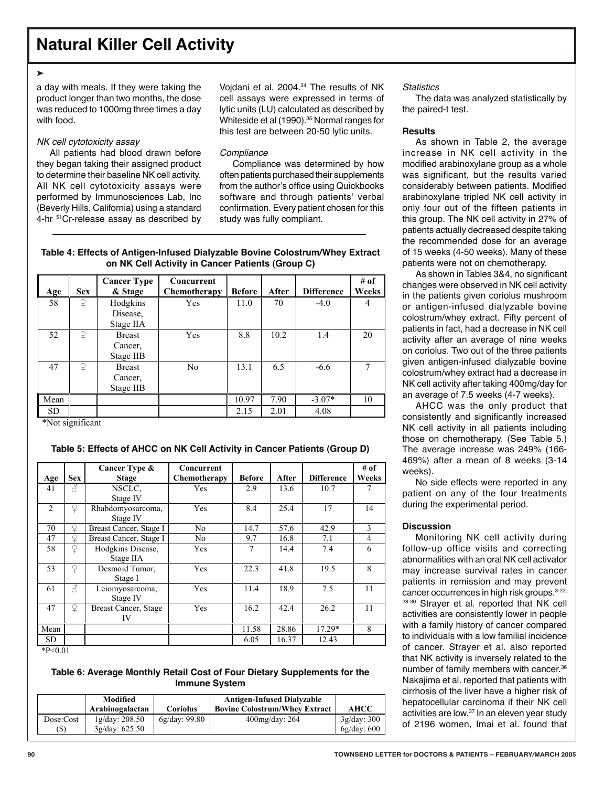### **Natural Killer Cell Activity**

#### ➤

a day with meals. If they were taking the product longer than two months, the dose was reduced to 1000mg three times a day with food.

#### NK cell cytotoxicity assay

All patients had blood drawn before they began taking their assigned product to determine their baseline NK cell activity. All NK cell cytotoxicity assays were performed by Immunosciences Lab, Inc (Beverly Hills, California) using a standard 4-hr  $51$ Cr-release assay as described by Vojdani et al. 2004.34 The results of NK cell assays were expressed in terms of lytic units (LU) calculated as described by Whiteside et al (1990).<sup>35</sup> Normal ranges for this test are between 20-50 lytic units.

#### **Compliance**

Compliance was determined by how often patients purchased their supplements from the author's office using Quickbooks software and through patients' verbal confirmation. Every patient chosen for this study was fully compliant.

#### Table 4: Effects of Antigen-Infused Dialyzable Bovine Colostrum/Whey Extract **on NK Cell Activity in Cancer Patients (Group C)**

| Age       | <b>Sex</b>   | <b>Cancer Type</b><br>& Stage         | Concurrent<br>Chemotherapy | <b>Before</b> | After | <b>Difference</b> | # of<br>Weeks |
|-----------|--------------|---------------------------------------|----------------------------|---------------|-------|-------------------|---------------|
| 58        | ¥            | Hodgkins<br>Disease,<br>Stage IIA     | Yes                        | 11.0          | 70    | $-4.0$            | 4             |
| 52        | $\mathsf{P}$ | <b>Breast</b><br>Cancer,<br>Stage IIB | Yes                        | 8.8           | 10.2  | 1.4               | 20            |
| 47        | $\Omega$     | <b>Breast</b><br>Cancer,<br>Stage IIB | N <sub>0</sub>             | 13.1          | 6.5   | $-6.6$            | 7             |
| Mean      |              |                                       |                            | 10.97         | 7.90  | $-3.07*$          | 10            |
| <b>SD</b> |              |                                       |                            | 2.15          | 2.01  | 4.08              |               |

\*Not significant

#### **Table 5: Effects of AHCC on NK Cell Activity in Cancer Patients (Group D)**  $\frac{1}{2}$  and  $\frac{1}{2}$  and  $\frac{1}{2}$  and  $\frac{1}{2}$  and  $\frac{1}{2}$  and  $\frac{1}{2}$  and  $\frac{1}{2}$  and  $\frac{1}{2}$  and  $\frac{1}{2}$  and  $\frac{1}{2}$  and  $\frac{1}{2}$  and  $\frac{1}{2}$  and  $\frac{1}{2}$  and  $\frac{1}{2}$  and  $\frac{1}{2}$  and  $\frac{1}{2}$  a Table 5: Effects of AHCC on NK Cell Activity in Cancer Patients (Gro

|      |               | Cancer Type &          | Concurrent   |               |       |                   | # of  |
|------|---------------|------------------------|--------------|---------------|-------|-------------------|-------|
| Age  | <b>Sex</b>    | <b>Stage</b>           | Chemotherapy | <b>Before</b> | After | <b>Difference</b> | Weeks |
| 41   | Â             | NSCLC.                 | Yes          | 2.9           | 13.6  | 10.7              | 7     |
|      |               | Stage IV               |              |               |       |                   |       |
| 2    | $\Omega$      | Rhabdomyosarcoma,      | Yes          | 8.4           | 25.4  | 17                | 14    |
|      |               | Stage IV               |              |               |       |                   |       |
| 70   | ¥             | Breast Cancer, Stage I | No           | 14.7          | 57.6  | 42.9              | 3     |
| 47   | ♀             | Breast Cancer, Stage I | No           | 9.7           | 16.8  | 7.1               | 4     |
| 58   | $\Omega$      | Hodgkins Disease,      | Yes          | 7             | 14.4  | 7.4               | 6     |
|      |               | Stage IIA              |              |               |       |                   |       |
| 53   | $\Omega$      | Desmoid Tumor,         | Yes          | 22.3          | 41.8  | 19.5              | 8     |
|      |               | Stage I                |              |               |       |                   |       |
| 61   | $\mathcal{S}$ | Leiomyosarcoma,        | Yes          | 11.4          | 18.9  | 7.5               | 11    |
|      |               | Stage IV               |              |               |       |                   |       |
| 47   | ¥             | Breast Cancer, Stage   | Yes          | 16.2          | 42.4  | 26.2              | 11    |
|      |               | IV                     |              |               |       |                   |       |
| Mean |               |                        |              | 11.58         | 28.86 | 17.29*            | 8     |
| SD.  |               |                        |              | 6.05          | 16.37 | 12.43             |       |

\*P<0.01

#### **Table 6: Average Monthly Retail Cost of Four Dietary Supplements for the Immune System** <u>∟ de la componenta de la compo</u> **A** Table 6: Average Monthly Retail Cost of Four Dietary Supplements for the<br>Immune System

|           | Modified        |               | <b>Antigen-Infused Dialyzable</b>    |             |
|-----------|-----------------|---------------|--------------------------------------|-------------|
|           | Arabinogalactan | Coriolus      | <b>Bovine Colostrum/Whev Extract</b> | AHCC        |
| Dose:Cost | 1g/day: 208.50  | 6g/day: 99.80 | $400$ mg/day: 264                    | 3g/day: 300 |
| (S)       | 3g/dav: 625.50  |               |                                      | 6g/day: 600 |

#### **Statistics**

The data was analyzed statistically by the paired-t test.

#### **Results**

As shown in Table 2, the average increase in NK cell activity in the modified arabinoxylane group as a whole was significant, but the results varied considerably between patients. Modified arabinoxylane tripled NK cell activity in only four out of the fifteen patients in this group. The NK cell activity in 27% of patients actually decreased despite taking the recommended dose for an average of 15 weeks (4-50 weeks). Many of these patients were not on chemotherapy.

As shown in Tables 3&4, no significant changes were observed in NK cell activity in the patients given coriolus mushroom or antigen-infused dialyzable bovine colostrum/whey extract. Fifty percent of patients in fact, had a decrease in NK cell activity after an average of nine weeks on coriolus. Two out of the three patients given antigen-infused dialyzable bovine colostrum/whey extract had a decrease in NK cell activity after taking 400mg/day for an average of 7.5 weeks (4-7 weeks).

AHCC was the only product that consistently and significantly increased NK cell activity in all patients including those on chemotherapy. (See Table 5.) The average increase was 249% (166- 469%) after a mean of 8 weeks (3-14 weeks).

No side effects were reported in any patient on any of the four treatments during the experimental period.

#### **Discussion**

Monitoring NK cell activity during follow-up office visits and correcting abnormalities with an oral NK cell activator may increase survival rates in cancer patients in remission and may prevent cancer occurrences in high risk groups.<sup>3-22,</sup> 28-30 Strayer et al. reported that NK cell activities are consistently lower in people with a family history of cancer compared to individuals with a low familial incidence of cancer. Strayer et al. also reported that NK activity is inversely related to the number of family members with cancer.36 Nakajima et al. reported that patients with cirrhosis of the liver have a higher risk of hepatocellular carcinoma if their NK cell activities are low.37 In an eleven year study of 2196 women, Imai et al. found that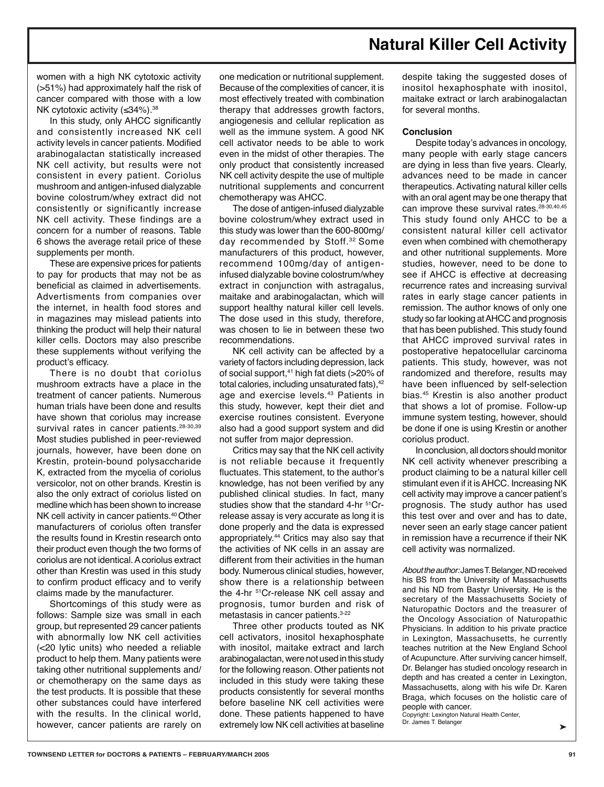## **Natural Killer Cell Activity**

women with a high NK cytotoxic activity (>51%) had approximately half the risk of cancer compared with those with a low NK cytotoxic activity (≤34%).<sup>38</sup>

In this study, only AHCC significantly and consistently increased NK cell activity levels in cancer patients. Modified arabinogalactan statistically increased NK cell activity, but results were not consistent in every patient. Coriolus mushroom and antigen-infused dialyzable bovine colostrum/whey extract did not consistently or significantly increase NK cell activity. These findings are a concern for a number of reasons. Table 6 shows the average retail price of these supplements per month.

These are expensive prices for patients to pay for products that may not be as beneficial as claimed in advertisements. Advertisments from companies over the internet, in health food stores and in magazines may mislead patients into thinking the product will help their natural killer cells. Doctors may also prescribe these supplements without verifying the product's efficacy.

There is no doubt that coriolus mushroom extracts have a place in the treatment of cancer patients. Numerous human trials have been done and results have shown that coriolus may increase survival rates in cancer patients.<sup>28-30,39</sup> Most studies published in peer-reviewed journals, however, have been done on Krestin, protein-bound polysaccharide K, extracted from the mycelia of coriolus versicolor, not on other brands. Krestin is also the only extract of coriolus listed on medline which has been shown to increase NK cell activity in cancer patients.<sup>40</sup> Other manufacturers of coriolus often transfer the results found in Krestin research onto their product even though the two forms of coriolus are not identical. A coriolus extract other than Krestin was used in this study to confirm product efficacy and to verify claims made by the manufacturer.

Shortcomings of this study were as follows: Sample size was small in each group, but represented 29 cancer patients with abnormally low NK cell activities (<20 lytic units) who needed a reliable product to help them. Many patients were taking other nutritional supplements and/ or chemotherapy on the same days as the test products. It is possible that these other substances could have interfered with the results. In the clinical world, however, cancer patients are rarely on

one medication or nutritional supplement. Because of the complexities of cancer, it is most effectively treated with combination therapy that addresses growth factors, angiogenesis and cellular replication as well as the immune system. A good NK cell activator needs to be able to work even in the midst of other therapies. The only product that consistently increased NK cell activity despite the use of multiple nutritional supplements and concurrent chemotherapy was AHCC.

The dose of antigen-infused dialyzable bovine colostrum/whey extract used in this study was lower than the 600-800mg/ day recommended by Stoff.<sup>32</sup> Some manufacturers of this product, however, recommend 100mg/day of antigeninfused dialyzable bovine colostrum/whey extract in conjunction with astragalus, maitake and arabinogalactan, which will support healthy natural killer cell levels. The dose used in this study, therefore, was chosen to lie in between these two recommendations.

NK cell activity can be affected by a variety of factors including depression, lack of social support,<sup>41</sup> high fat diets (>20% of total calories, including unsaturated fats),<sup>42</sup> age and exercise levels.<sup>43</sup> Patients in this study, however, kept their diet and exercise routines consistent. Everyone also had a good support system and did not suffer from major depression.

Critics may say that the NK cell activity is not reliable because it frequently fluctuates. This statement, to the author's knowledge, has not been verified by any published clinical studies. In fact, many studies show that the standard 4-hr <sup>51</sup>Crrelease assay is very accurate as long it is done properly and the data is expressed appropriately.44 Critics may also say that the activities of NK cells in an assay are different from their activities in the human body. Numerous clinical studies, however, show there is a relationship between the 4-hr 51Cr-release NK cell assay and prognosis, tumor burden and risk of metastasis in cancer patients.3-22

Three other products touted as NK cell activators, inositol hexaphosphate with inositol, maitake extract and larch arabinogalactan, were not used in this study for the following reason. Other patients not included in this study were taking these products consistently for several months before baseline NK cell activities were done. These patients happened to have extremely low NK cell activities at baseline

despite taking the suggested doses of inositol hexaphosphate with inositol, maitake extract or larch arabinogalactan for several months.

#### **Conclusion**

Despite today's advances in oncology, many people with early stage cancers are dying in less than five years. Clearly, advances need to be made in cancer therapeutics. Activating natural killer cells with an oral agent may be one therapy that can improve these survival rates.<sup>28-30,40,45</sup> This study found only AHCC to be a consistent natural killer cell activator even when combined with chemotherapy and other nutritional supplements. More studies, however, need to be done to see if AHCC is effective at decreasing recurrence rates and increasing survival rates in early stage cancer patients in remission. The author knows of only one study so far looking at AHCC and prognosis that has been published. This study found that AHCC improved survival rates in postoperative hepatocellular carcinoma patients. This study, however, was not randomized and therefore, results may have been influenced by self-selection bias.45 Krestin is also another product that shows a lot of promise. Follow-up immune system testing, however, should be done if one is using Krestin or another coriolus product.

In conclusion, all doctors should monitor NK cell activity whenever prescribing a product claiming to be a natural killer cell stimulant even if it is AHCC. Increasing NK cell activity may improve a cancer patient's prognosis. The study author has used this test over and over and has to date, never seen an early stage cancer patient in remission have a recurrence if their NK cell activity was normalized.

About the author: James T. Belanger, ND received his BS from the University of Massachusetts and his ND from Bastyr University. He is the secretary of the Massachusetts Society of Naturopathic Doctors and the treasurer of the Oncology Association of Naturopathic Physicians. In addition to his private practice in Lexington, Massachusetts, he currently teaches nutrition at the New England School of Acupuncture. After surviving cancer himself, Dr. Belanger has studied oncology research in depth and has created a center in Lexington, Massachusetts, along with his wife Dr. Karen Braga, which focuses on the holistic care of people with cancer.

Copyright: Lexington Natural Health Center, Dr. James T. Belanger ←